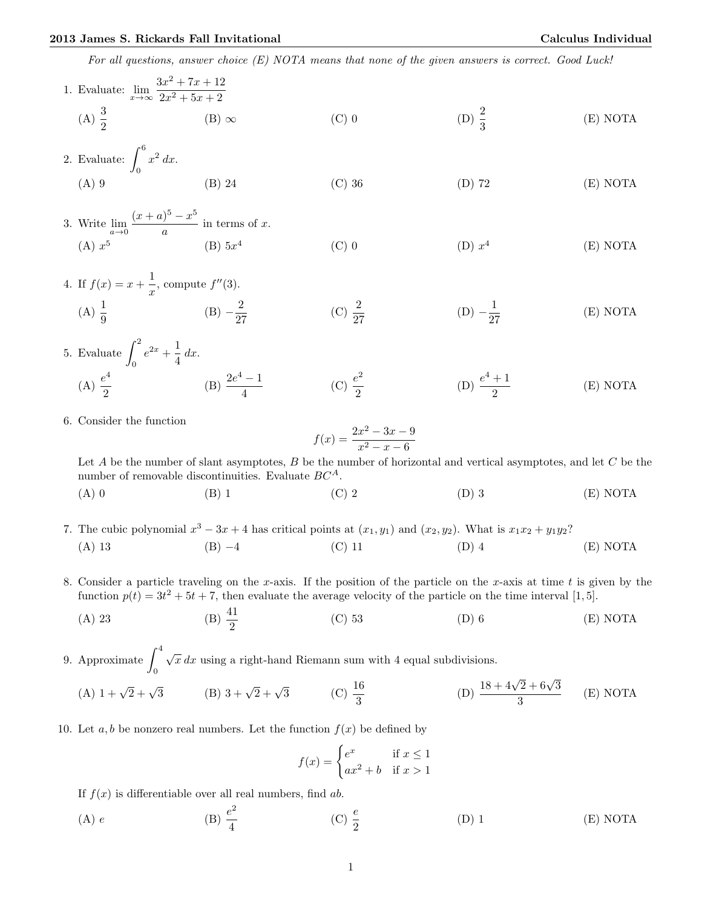For all questions, answer choice (E) NOTA means that none of the given answers is correct. Good Luck!

1. Evaluate: 
$$
\lim_{x \to \infty} \frac{3x^2 + 7x + 12}{2x^2 + 5x + 2}
$$
  
\n(A)  $\frac{3}{2}$  (B)  $\infty$  (C) 0 (D)  $\frac{2}{3}$  (E) NOTA

2. Evaluate: 
$$
\int_0^6 x^2 dx
$$
.  
\n(A) 9 (B) 24 (C) 36 (D) 72 (E) NOTA

3. Write 
$$
\lim_{a \to 0} \frac{(x+a)^5 - x^5}{a}
$$
 in terms of x.  
\n(A)  $x^5$  (B)  $5x^4$  (C) 0 (D)  $x^4$  (E) NOTA

4. If 
$$
f(x) = x + \frac{1}{x}
$$
, compute  $f''(3)$ .  
\n(A)  $\frac{1}{9}$  (B)  $-\frac{2}{27}$  (C)  $\frac{2}{27}$  (D)  $-\frac{1}{27}$  (E) NOTA

- 5. Evaluate  $\int_0^2$ 0  $e^{2x} + \frac{1}{4}$  $\frac{1}{4}$  dx.  $(A) \frac{e^4}{2}$ 2 (B)  $\frac{2e^4-1}{4}$ 4  $(C) \frac{e^2}{2}$ 2 (D)  $\frac{e^4+1}{2}$ 2 (E) NOTA
- 6. Consider the function

$$
f(x) = \frac{2x^2 - 3x - 9}{x^2 - x - 6}
$$

Let A be the number of slant asymptotes, B be the number of horizontal and vertical asymptotes, and let  $C$  be the number of removable discontinuities. Evaluate  $BC^A$ .

(A) 0 (B) 1 (C) 2 (D) 3 (E) NOTA

- 7. The cubic polynomial  $x^3 3x + 4$  has critical points at  $(x_1, y_1)$  and  $(x_2, y_2)$ . What is  $x_1x_2 + y_1y_2$ ? (A) 13 (B) −4 (C) 11 (D) 4 (E) NOTA
- 8. Consider a particle traveling on the x-axis. If the position of the particle on the x-axis at time  $t$  is given by the function  $p(t) = 3t^2 + 5t + 7$ , then evaluate the average velocity of the particle on the time interval [1,5].
	- (A) 23 (B)  $\frac{41}{2}$ (C) 53 (D) 6 (E) NOTA

9. Approximate  $\int_0^4$ 0  $\sqrt{x} dx$  using a right-hand Riemann sum with 4 equal subdivisions. (A)  $1 + \sqrt{2} + \sqrt{3}$  (B)  $3 + \sqrt{2} + \sqrt{3}$  (C)  $\frac{16}{3}$ (D)  $\frac{18+4\sqrt{2}+6\sqrt{3}}{2}$ (E) NOTA

10. Let a, b be nonzero real numbers. Let the function  $f(x)$  be defined by

$$
f(x) = \begin{cases} e^x & \text{if } x \le 1\\ ax^2 + b & \text{if } x > 1 \end{cases}
$$

3

If  $f(x)$  is differentiable over all real numbers, find ab.

(A) e (B)  $\frac{e^2}{4}$ 4 (C)  $\frac{e}{2}$ (D) 1 (E) NOTA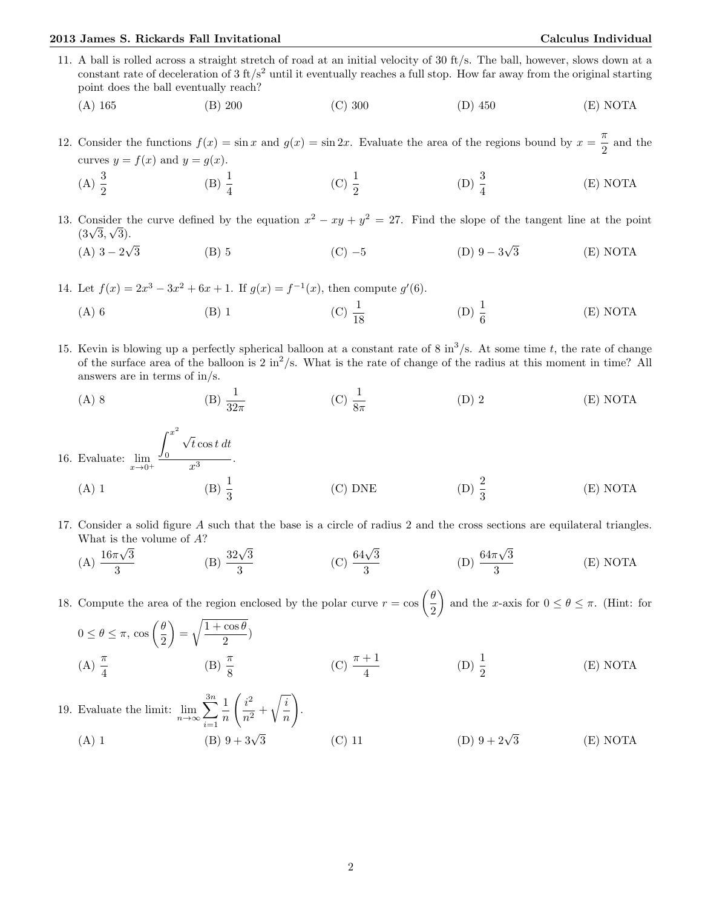## 2013 James S. Rickards Fall Invitational Calculus Individual

11. A ball is rolled across a straight stretch of road at an initial velocity of 30 ft/s. The ball, however, slows down at a constant rate of deceleration of  $3 \text{ ft/s}^2$  until it eventually reaches a full stop. How far away from the original starting point does the ball eventually reach?

(A) 165 (B) 200 (C) 300 (D) 450 (E) NOTA

12. Consider the functions  $f(x) = \sin x$  and  $g(x) = \sin 2x$ . Evaluate the area of the regions bound by  $x = \frac{\pi}{2}$  $\frac{\pi}{2}$  and the curves  $y = f(x)$  and  $y = g(x)$ .

(A)  $\frac{3}{2}$ (B)  $\frac{1}{4}$ (C)  $\frac{1}{2}$ (D)  $\frac{3}{4}$ (E) NOTA

13. Consider the curve defined by the equation  $x^2 - xy + y^2 = 27$ . Find the slope of the tangent line at the point Consider t<br> $(3\sqrt{3}, \sqrt{3}).$ √ √

 $(A)$  3 – 2 3 (B) 5 (C)  $-5$  (D) 9  $-3$ 3 (E) NOTA

14. Let  $f(x) = 2x^3 - 3x^2 + 6x + 1$ . If  $g(x) = f^{-1}(x)$ , then compute  $g'(6)$ .

- (A) 6 (B) 1 (C)  $\frac{1}{18}$ (D)  $\frac{1}{6}$ (E) NOTA
- 15. Kevin is blowing up a perfectly spherical balloon at a constant rate of 8 in<sup>3</sup>/s. At some time t, the rate of change of the surface area of the balloon is  $2 \text{ in}^2/\text{s}$ . What is the rate of change of the radius at this moment in time? All answers are in terms of in/s.
	- (A) 8 (B)  $\frac{1}{32\pi}$ (C)  $\frac{1}{8\pi}$  $(D) 2$   $(E) NOTA$
- 16. Evaluate:  $\lim_{x\to 0^+}$  $\int^{x^2}$ 0 √  $t \cos t \, dt$  $\overline{x^3}$ . (A) 1 (B)  $\frac{1}{3}$ (C) DNE (D)  $\frac{2}{3}$ (E) NOTA
- 17. Consider a solid figure A such that the base is a circle of radius 2 and the cross sections are equilateral triangles. What is the volume of  $A$ ? √

(A) 
$$
\frac{16\pi\sqrt{3}}{3}
$$
 (B)  $\frac{32\sqrt{3}}{3}$  (C)  $\frac{64\sqrt{3}}{3}$  (D)  $\frac{64\pi\sqrt{3}}{3}$  (E) NOTA

18. Compute the area of the region enclosed by the polar curve  $r = \cos \left( \frac{\theta}{2} \right)$ 2 ) and the x-axis for  $0 \le \theta \le \pi$ . (Hint: for

$$
0 \le \theta \le \pi, \cos\left(\frac{\theta}{2}\right) = \sqrt{\frac{1 + \cos\theta}{2}}
$$
\n
$$
(A) \frac{\pi}{4} \qquad (B) \frac{\pi}{8} \qquad (C) \frac{\pi + 1}{4} \qquad (D) \frac{1}{2} \qquad (E) NOTA
$$

19. Evaluate the limit:  $\lim_{n\to\infty}\sum_{n=1}^{3n}$  $i=1$ 1 n  $\int i^2$  $\frac{1}{n^2}$  +  $\sqrt{i}$ n  $\setminus$ . (A) 1 (B)  $9 + 3\sqrt{ }$ (B)  $9 + 3\sqrt{3}$  (C) 11 (D)  $9 + 2\sqrt{3}$ 3 (E) NOTA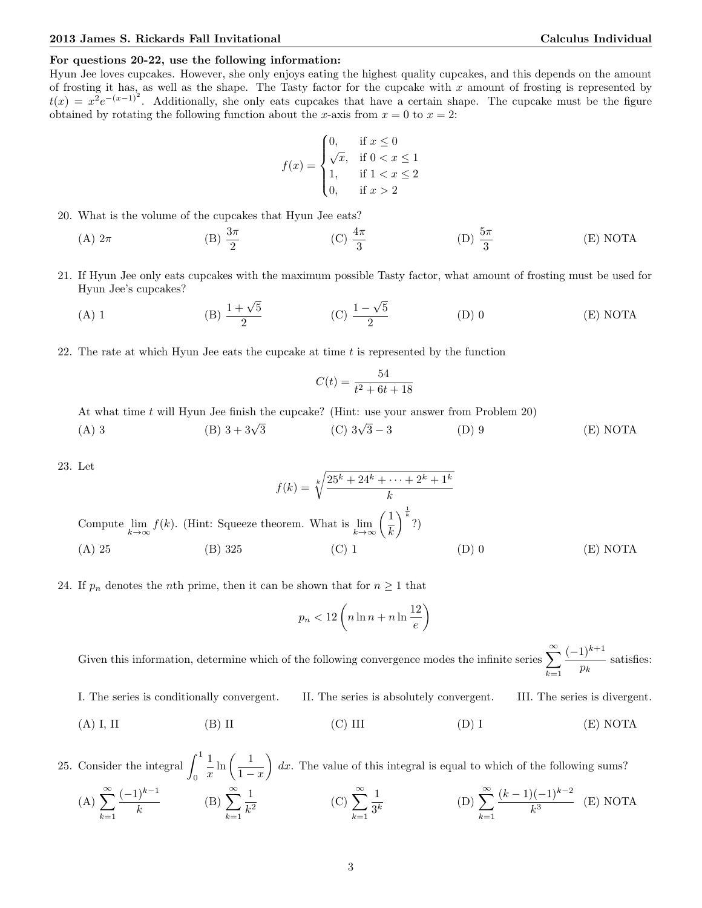## For questions 20-22, use the following information:

Hyun Jee loves cupcakes. However, she only enjoys eating the highest quality cupcakes, and this depends on the amount of frosting it has, as well as the shape. The Tasty factor for the cupcake with  $x$  amount of frosting is represented by  $t(x) = x^2 e^{-(x-1)^2}$ . Additionally, she only eats cupcakes that have a certain shape. The cupcake must be the figure obtained by rotating the following function about the x-axis from  $x = 0$  to  $x = 2$ :

$$
f(x) = \begin{cases} 0, & \text{if } x \le 0 \\ \sqrt{x}, & \text{if } 0 < x \le 1 \\ 1, & \text{if } 1 < x \le 2 \\ 0, & \text{if } x > 2 \end{cases}
$$

- 20. What is the volume of the cupcakes that Hyun Jee eats?
	- (A)  $2\pi$  (B)  $\frac{3\pi}{2}$  (C)  $\frac{4\pi}{3}$ (D)  $\frac{5\pi}{3}$ (E) NOTA
- 21. If Hyun Jee only eats cupcakes with the maximum possible Tasty factor, what amount of frosting must be used for Hyun Jee's cupcakes? √
	- (A) 1 (B)  $\frac{1+\sqrt{5}}{2}$  $\frac{-\sqrt{5}}{2}$  (C)  $\frac{1-\sqrt{5}}{2}$ 5 2 (D) 0 (E) NOTA
- 22. The rate at which Hyun Jee eats the cupcake at time  $t$  is represented by the function

$$
C(t) = \frac{54}{t^2 + 6t + 18}
$$

At what time t will Hyun Jee finish the cupcake? (Hint: use your answer from Problem 20)

(A) 3 (B) 
$$
3 + 3\sqrt{3}
$$
 (C)  $3\sqrt{3} - 3$  (D) 9 (E) NOTA

23. Let

$$
f(k) = \sqrt[k]{\frac{25^k + 24^k + \dots + 2^k + 1^k}{k}}
$$
  
Compute  $\lim_{k \to \infty} f(k)$ . (Hint: Squeeze theorem. What is  $\lim_{k \to \infty} \left(\frac{1}{k}\right)^{\frac{1}{k}}$ ?)  
(A) 25 (B) 325 (C) 1 (D) 0 (E) NOTA

24. If  $p_n$  denotes the *n*th prime, then it can be shown that for  $n \geq 1$  that

$$
p_n < 12\left(n\ln n + n\ln\frac{12}{e}\right)
$$

Given this information, determine which of the following convergence modes the infinite series  $\sum_{n=0}^{\infty}$  $k=1$  $(-1)^{k+1}$  $\frac{1}{p_k}$  satisfies:

I. The series is conditionally convergent. II. The series is absolutely convergent. III. The series is divergent.

(A) I, II (B) II (C) III (D) I (E) NOTA

25. Consider the integral  $\int_1^1$ 0 1  $rac{1}{x}$  ln  $\left(\frac{1}{1-\right)}$  $1 - x$  $\Big) dx$ . The value of this integral is equal to which of the following sums?  $(A)$   $\sum^{\infty}$  $k=1$  $(-1)^{k-1}$  $\frac{(k-1)}{k}$  (B)  $\sum_{k=1}^{\infty}$  $k=1$ 1  $\frac{1}{k^2}$  (C)  $\sum_{k=1}^{\infty}$  $k=1$ 1  $rac{1}{3^k}$  (D)  $\sum_{k=1}^{\infty}$  $k=1$  $(k-1)(-1)^{k-2}$  $\frac{k^3}{k^3}$  (E) NOTA